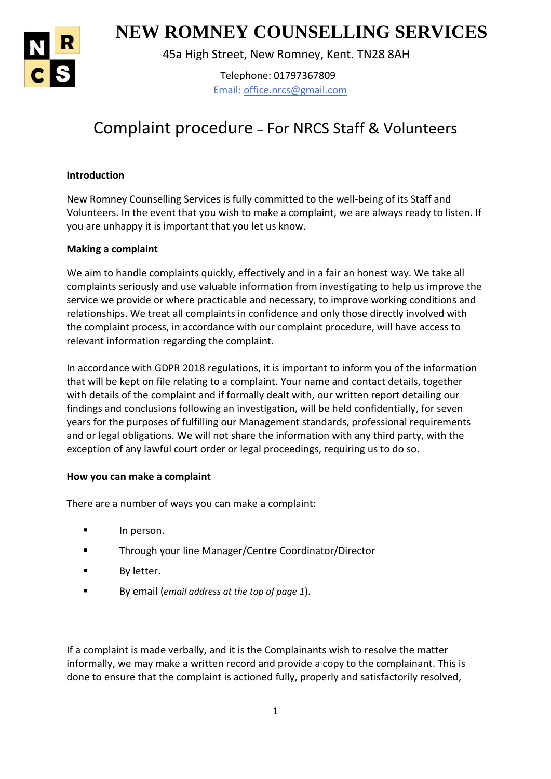

1 **NEW ROMNEY COUNSELLING SERVICES**

45a High Street, New Romney, Kent. TN28 8AH

Telephone: 01797367809 Email: office.nrcs@gmail.com

# Complaint procedure – For NRCS Staff & Volunteers

# **Introduction**

New Romney Counselling Services is fully committed to the well-being of its Staff and Volunteers. In the event that you wish to make a complaint, we are always ready to listen. If you are unhappy it is important that you let us know.

# **Making a complaint**

We aim to handle complaints quickly, effectively and in a fair an honest way. We take all complaints seriously and use valuable information from investigating to help us improve the service we provide or where practicable and necessary, to improve working conditions and relationships. We treat all complaints in confidence and only those directly involved with the complaint process, in accordance with our complaint procedure, will have access to relevant information regarding the complaint.

In accordance with GDPR 2018 regulations, it is important to inform you of the information that will be kept on file relating to a complaint. Your name and contact details, together with details of the complaint and if formally dealt with, our written report detailing our findings and conclusions following an investigation, will be held confidentially, for seven years for the purposes of fulfilling our Management standards, professional requirements and or legal obligations. We will not share the information with any third party, with the exception of any lawful court order or legal proceedings, requiring us to do so.

# **How you can make a complaint**

There are a number of ways you can make a complaint:

- **In person.**
- **Through your line Manager/Centre Coordinator/Director**
- **By letter.**
- By email (*email address at the top of page 1*).

If a complaint is made verbally, and it is the Complainants wish to resolve the matter informally, we may make a written record and provide a copy to the complainant. This is done to ensure that the complaint is actioned fully, properly and satisfactorily resolved,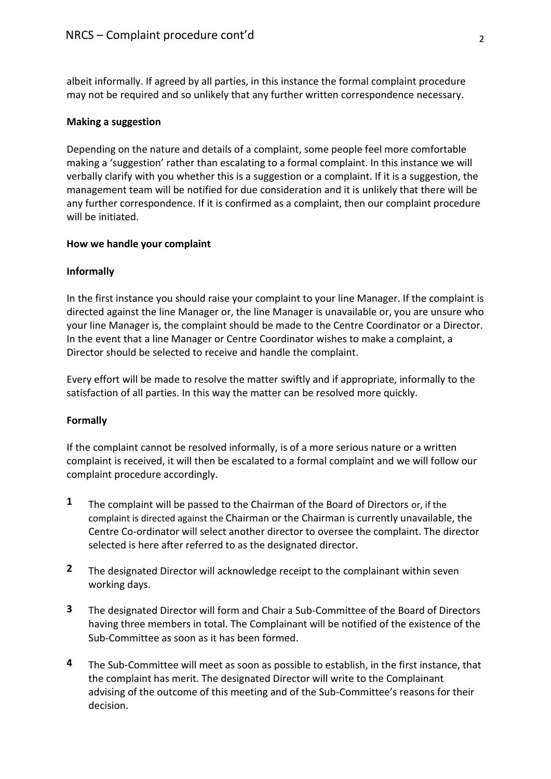albeit informally. If agreed by all parties, in this instance the formal complaint procedure may not be required and so unlikely that any further written correspondence necessary.

# **Making a suggestion**

Depending on the nature and details of a complaint, some people feel more comfortable making a 'suggestion' rather than escalating to a formal complaint. In this instance we will verbally clarify with you whether this is a suggestion or a complaint. If it is a suggestion, the management team will be notified for due consideration and it is unlikely that there will be any further correspondence. If it is confirmed as a complaint, then our complaint procedure will be initiated.

## **How we handle your complaint**

# **Informally**

In the first instance you should raise your complaint to your line Manager. If the complaint is directed against the line Manager or, the line Manager is unavailable or, you are unsure who your line Manager is, the complaint should be made to the Centre Coordinator or a Director. In the event that a line Manager or Centre Coordinator wishes to make a complaint, a Director should be selected to receive and handle the complaint.

Every effort will be made to resolve the matter swiftly and if appropriate, informally to the satisfaction of all parties. In this way the matter can be resolved more quickly.

## **Formally**

If the complaint cannot be resolved informally, is of a more serious nature or a written complaint is received, it will then be escalated to a formal complaint and we will follow our complaint procedure accordingly.

- **1** The complaint will be passed to the Chairman of the Board of Directors or, if the complaint is directed against the Chairman or the Chairman is currently unavailable, the Centre Co-ordinator will select another director to oversee the complaint. The director selected is here after referred to as the designated director.
- **2** The designated Director will acknowledge receipt to the complainant within seven working days.
- **3** The designated Director will form and Chair a Sub-Committee of the Board of Directors having three members in total. The Complainant will be notified of the existence of the Sub-Committee as soon as it has been formed.
- **4** The Sub-Committee will meet as soon as possible to establish, in the first instance, that the complaint has merit. The designated Director will write to the Complainant advising of the outcome of this meeting and of the Sub-Committee's reasons for their decision.